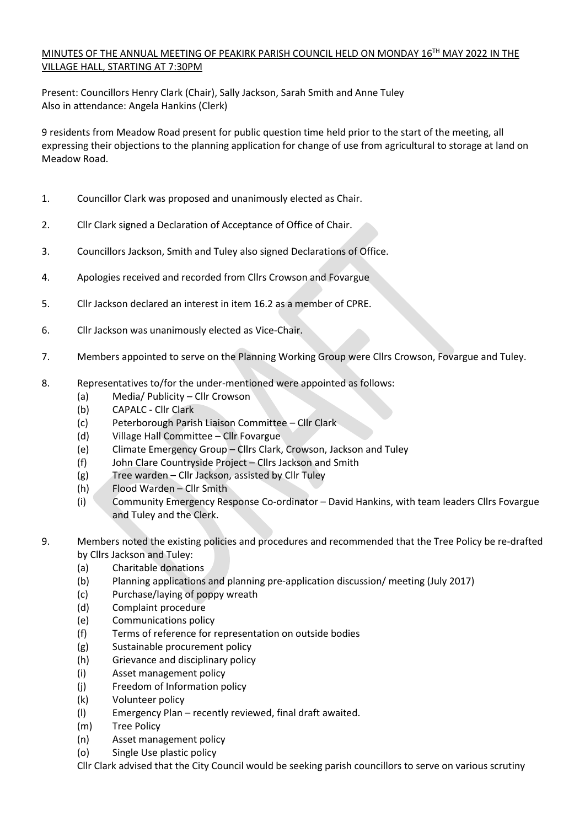# MINUTES OF THE ANNUAL MEETING OF PEAKIRK PARISH COUNCIL HELD ON MONDAY 16TH MAY 2022 IN THE VILLAGE HALL, STARTING AT 7:30PM

Present: Councillors Henry Clark (Chair), Sally Jackson, Sarah Smith and Anne Tuley Also in attendance: Angela Hankins (Clerk)

9 residents from Meadow Road present for public question time held prior to the start of the meeting, all expressing their objections to the planning application for change of use from agricultural to storage at land on Meadow Road.

- 1. Councillor Clark was proposed and unanimously elected as Chair.
- 2. Cllr Clark signed a Declaration of Acceptance of Office of Chair.
- 3. Councillors Jackson, Smith and Tuley also signed Declarations of Office.
- 4. Apologies received and recorded from Cllrs Crowson and Fovargue
- 5. Cllr Jackson declared an interest in item 16.2 as a member of CPRE.
- 6. Cllr Jackson was unanimously elected as Vice-Chair.
- 7. Members appointed to serve on the Planning Working Group were Cllrs Crowson, Fovargue and Tuley.
- 8. Representatives to/for the under-mentioned were appointed as follows:
	- (a) Media/ Publicity Cllr Crowson
	- (b) CAPALC Cllr Clark
	- (c) Peterborough Parish Liaison Committee Cllr Clark
	- (d) Village Hall Committee Cllr Fovargue
	- (e) Climate Emergency Group Cllrs Clark, Crowson, Jackson and Tuley
	- (f) John Clare Countryside Project Cllrs Jackson and Smith
	- (g) Tree warden Cllr Jackson, assisted by Cllr Tuley
	- (h) Flood Warden Cllr Smith
	- (i) Community Emergency Response Co-ordinator David Hankins, with team leaders Cllrs Fovargue and Tuley and the Clerk.
- 9. Members noted the existing policies and procedures and recommended that the Tree Policy be re-drafted by Cllrs Jackson and Tuley:
	- (a) Charitable donations
	- (b) Planning applications and planning pre-application discussion/ meeting (July 2017)
	- (c) Purchase/laying of poppy wreath
	- (d) Complaint procedure
	- (e) Communications policy
	- (f) Terms of reference for representation on outside bodies
	- (g) Sustainable procurement policy
	- (h) Grievance and disciplinary policy
	- (i) Asset management policy
	- (j) Freedom of Information policy
	- (k) Volunteer policy
	- (l) Emergency Plan recently reviewed, final draft awaited.
	- (m) Tree Policy
	- (n) Asset management policy
	- (o) Single Use plastic policy
	- Cllr Clark advised that the City Council would be seeking parish councillors to serve on various scrutiny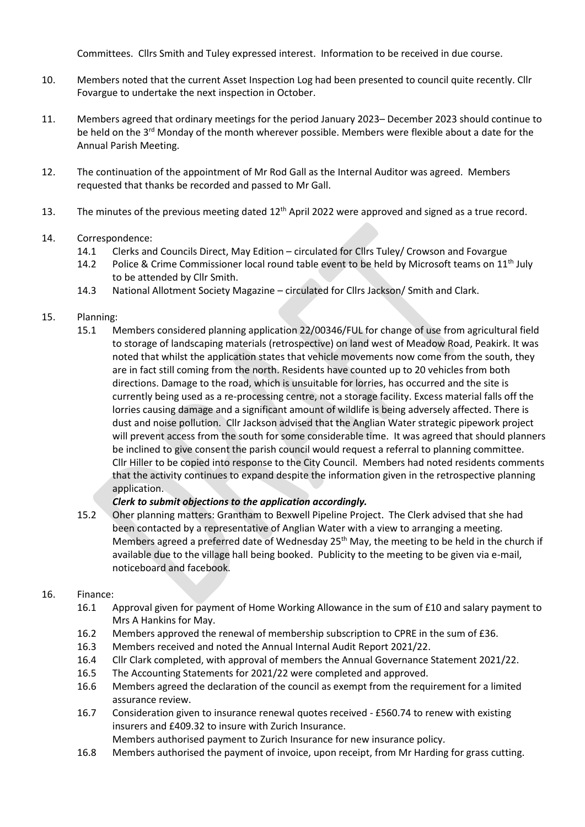Committees. Cllrs Smith and Tuley expressed interest. Information to be received in due course.

- 10. Members noted that the current Asset Inspection Log had been presented to council quite recently. Cllr Fovargue to undertake the next inspection in October.
- 11. Members agreed that ordinary meetings for the period January 2023– December 2023 should continue to be held on the 3<sup>rd</sup> Monday of the month wherever possible. Members were flexible about a date for the Annual Parish Meeting.
- 12. The continuation of the appointment of Mr Rod Gall as the Internal Auditor was agreed. Members requested that thanks be recorded and passed to Mr Gall.
- 13. The minutes of the previous meeting dated  $12<sup>th</sup>$  April 2022 were approved and signed as a true record.

### 14. Correspondence:

- 14.1 Clerks and Councils Direct, May Edition circulated for Cllrs Tuley/ Crowson and Fovargue
- 14.2 Police & Crime Commissioner local round table event to be held by Microsoft teams on 11<sup>th</sup> July to be attended by Cllr Smith.
- 14.3 National Allotment Society Magazine circulated for Cllrs Jackson/ Smith and Clark.

#### 15. Planning:

15.1 Members considered planning application 22/00346/FUL for change of use from agricultural field to storage of landscaping materials (retrospective) on land west of Meadow Road, Peakirk. It was noted that whilst the application states that vehicle movements now come from the south, they are in fact still coming from the north. Residents have counted up to 20 vehicles from both directions. Damage to the road, which is unsuitable for lorries, has occurred and the site is currently being used as a re-processing centre, not a storage facility. Excess material falls off the lorries causing damage and a significant amount of wildlife is being adversely affected. There is dust and noise pollution. Cllr Jackson advised that the Anglian Water strategic pipework project will prevent access from the south for some considerable time. It was agreed that should planners be inclined to give consent the parish council would request a referral to planning committee. Cllr Hiller to be copied into response to the City Council. Members had noted residents comments that the activity continues to expand despite the information given in the retrospective planning application.

### *Clerk to submit objections to the application accordingly.*

15.2 Oher planning matters: Grantham to Bexwell Pipeline Project. The Clerk advised that she had been contacted by a representative of Anglian Water with a view to arranging a meeting. Members agreed a preferred date of Wednesday 25<sup>th</sup> May, the meeting to be held in the church if available due to the village hall being booked. Publicity to the meeting to be given via e-mail, noticeboard and facebook.

### 16. Finance:

- 16.1 Approval given for payment of Home Working Allowance in the sum of £10 and salary payment to Mrs A Hankins for May.
- 16.2 Members approved the renewal of membership subscription to CPRE in the sum of £36.
- 16.3 Members received and noted the Annual Internal Audit Report 2021/22.
- 16.4 Cllr Clark completed, with approval of members the Annual Governance Statement 2021/22.
- 16.5 The Accounting Statements for 2021/22 were completed and approved.
- 16.6 Members agreed the declaration of the council as exempt from the requirement for a limited assurance review.
- 16.7 Consideration given to insurance renewal quotes received £560.74 to renew with existing insurers and £409.32 to insure with Zurich Insurance.
	- Members authorised payment to Zurich Insurance for new insurance policy.
- 16.8 Members authorised the payment of invoice, upon receipt, from Mr Harding for grass cutting.